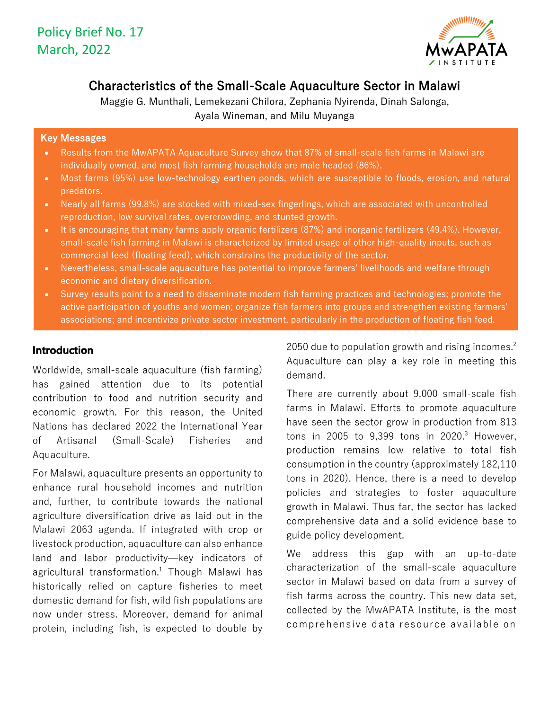

# Characteristics of the Small-Scale Aquaculture Sector in Malawi

Maggie G. Munthali, Lemekezani Chilora, Zephania Nyirenda, Dinah Salonga, Ayala Wineman, and Milu Muyanga

### Key Messages

- Results from the MwAPATA Aquaculture Survey show that 87% of small-scale fish farms in Malawi are individually owned, and most fish farming households are male headed (86%).
- Most farms (95%) use low-technology earthen ponds, which are susceptible to floods, erosion, and natural predators.
- Nearly all farms (99.8%) are stocked with mixed-sex fingerlings, which are associated with uncontrolled reproduction, low survival rates, overcrowding, and stunted growth.
- It is encouraging that many farms apply organic fertilizers (87%) and inorganic fertilizers (49.4%). However, small-scale fish farming in Malawi is characterized by limited usage of other high-quality inputs, such as commercial feed (floating feed), which constrains the productivity of the sector.
- Nevertheless, small-scale aquaculture has potential to improve farmers' livelihoods and welfare through economic and dietary diversification.
- Survey results point to a need to disseminate modern fish farming practices and technologies; promote the active participation of youths and women; organize fish farmers into groups and strengthen existing farmers' associations; and incentivize private sector investment, particularly in the production of floating fish feed.

### **Introduction**

Worldwide, small-scale aquaculture (fish farming) has gained attention due to its potential contribution to food and nutrition security and economic growth. For this reason, the United Nations has declared 2022 the International Year of Artisanal (Small-Scale) Fisheries and Aquaculture.

For Malawi, aquaculture presents an opportunity to enhance rural household incomes and nutrition and, further, to contribute towards the national agriculture diversification drive as laid out in the Malawi 2063 agenda. If integrated with crop or livestock production, aquaculture can also enhance land and labor productivity—key indicators of agricultural transformation. <sup>1</sup> Though Malawi has historically relied on capture fisheries to meet domestic demand for fish, wild fish populations are now under stress. Moreover, demand for animal protein, including fish, is expected to double by

2050 due to population growth and rising incomes.<sup>2</sup> Aquaculture can play a key role in meeting this demand.

There are currently about 9,000 small-scale fish farms in Malawi. Efforts to promote aquaculture have seen the sector grow in production from 813 tons in 2005 to 9,399 tons in 2020. <sup>3</sup> However, production remains low relative to total fish consumption in the country (approximately 182,110 tons in 2020). Hence, there is a need to develop policies and strategies to foster aquaculture growth in Malawi. Thus far, the sector has lacked comprehensive data and a solid evidence base to guide policy development.

We address this gap with an up-to-date characterization of the small-scale aquaculture sector in Malawi based on data from a survey of fish farms across the country. This new data set, collected by the MwAPATA Institute, is the most comprehensive data resource available on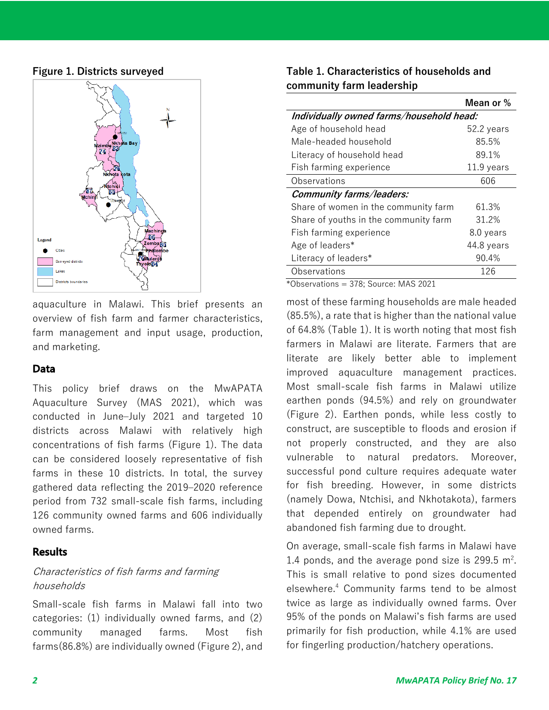### **Figure 1. Districts surveyed**



aquaculture in Malawi. This brief presents an overview of fish farm and farmer characteristics, farm management and input usage, production, and marketing.

## **Data**

This policy brief draws on the MwAPATA Aquaculture Survey (MAS 2021), which was conducted in June-July 2021 and targeted 10 districts across Malawi with relatively high concentrations of fish farms (Figure 1). The data can be considered loosely representative of fish farms in these 10 districts. In total, the survey gathered data reflecting the 2019–2020 reference period from 732 small-scale fish farms, including 126 community owned farms and 606 individually owned farms.

## **Results**

## Characteristics of fish farms and farming households

Small-scale fish farms in Malawi fall into two categories: (1) individually owned farms, and (2) community managed farms. Most fish farms(86.8%) are individually owned (Figure 2), and

| Table 1. Characteristics of households and |
|--------------------------------------------|
| community farm leadership                  |

|                                          | Mean or %  |  |
|------------------------------------------|------------|--|
| Individually owned farms/household head: |            |  |
| Age of household head                    | 52.2 years |  |
| Male-headed household                    | 85.5%      |  |
| Literacy of household head               | 89.1%      |  |
| Fish farming experience                  | 11.9 years |  |
| Observations                             | 606        |  |
| Community farms/leaders:                 |            |  |
| Share of women in the community farm     | 61.3%      |  |
| Share of youths in the community farm    | 31.2%      |  |
| Fish farming experience                  | 8.0 years  |  |
| Age of leaders*                          | 44.8 years |  |
| Literacy of leaders*                     | 90.4%      |  |
| Observations                             | 126        |  |

\*Observations = 378; Source: MAS 2021

most of these farming households are male headed (85.5%), a rate that is higher than the national value of 64.8% (Table 1). It is worth noting that most fish farmers in Malawi are literate. Farmers that are literate are likely better able to implement improved aquaculture management practices. Most small-scale fish farms in Malawi utilize earthen ponds (94.5%) and rely on groundwater (Figure 2). Earthen ponds, while less costly to construct, are susceptible to floods and erosion if not properly constructed, and they are also vulnerable to natural predators. Moreover, successful pond culture requires adequate water for fish breeding. However, in some districts (namely Dowa, Ntchisi, and Nkhotakota), farmers that depended entirely on groundwater had abandoned fish farming due to drought. **M**

On average, small-scale fish farms in Malawi have 1.4 ponds, and the average pond size is 299.5  $m^2$ . This is small relative to pond sizes documented elsewhere.4 Community farms tend to be almost twice as large as individually owned farms. Over 95% of the ponds on Malawi's fish farms are used primarily for fish production, while 4.1% are used for fingerling production/hatchery operations.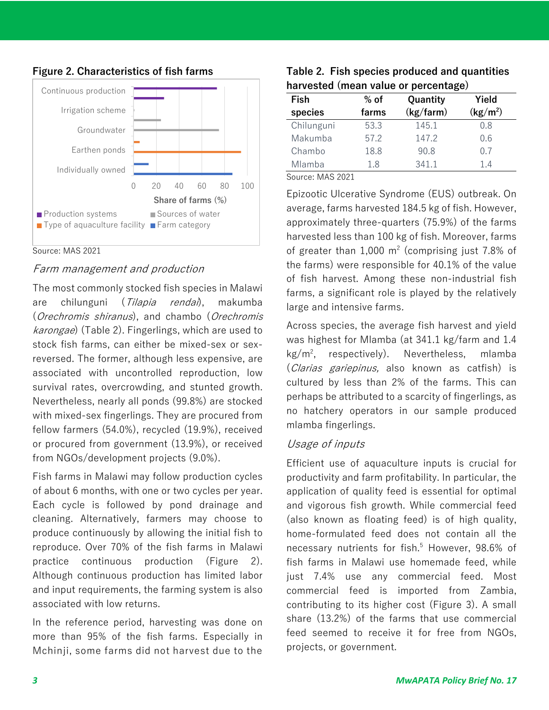

## **Figure 2. Characteristics of fish farms**

#### Source: MAS 2021

## Farm management and production

The most commonly stocked fish species in Malawi are chilunguni (Tilapia rendai), makumba (Orechromis shiranus), and chambo (Orechromis karongae) (Table 2). Fingerlings, which are used to stock fish farms, can either be mixed-sex or sexreversed. The former, although less expensive, are associated with uncontrolled reproduction, low survival rates, overcrowding, and stunted growth. Nevertheless, nearly all ponds (99.8%) are stocked with mixed-sex fingerlings. They are procured from fellow farmers (54.0%), recycled (19.9%), received or procured from government (13.9%), or received from NGOs/development projects (9.0%).

Fish farms in Malawi may follow production cycles of about 6 months, with one or two cycles per year. Each cycle is followed by pond drainage and cleaning. Alternatively, farmers may choose to produce continuously by allowing the initial fish to reproduce. Over 70% of the fish farms in Malawi practice continuous production (Figure 2). Although continuous production has limited labor and input requirements, the farming system is also associated with low returns.

In the reference period, harvesting was done on more than 95% of the fish farms. Especially in Mchinji, some farms did not harvest due to the

### **Table 2. Fish species produced and quantities harvested (mean value or percentage)**

| Fish                      | $%$ of | Quantity  | Yield                |
|---------------------------|--------|-----------|----------------------|
| species                   | farms  | (kg/farm) | (kg/m <sup>2</sup> ) |
| Chilunguni                | 53.3   | 145.1     | 0.8                  |
| Makumba                   | 57.2   | 147.2     | 0.6                  |
| Chambo                    | 18.8   | 90.8      | 0.7                  |
| Mlamba                    | 1.8    | 341.1     | 1.4                  |
| $C_{\text{out}}$ MAC 2021 |        |           |                      |

Source: MAS 2021

Epizootic Ulcerative Syndrome (EUS) outbreak. On average, farms harvested 184.5 kg of fish. However, approximately three-quarters (75.9%) of the farms harvested less than 100 kg of fish. Moreover, farms of greater than  $1,000$  m<sup>2</sup> (comprising just 7.8% of the farms) were responsible for 40.1% of the value of fish harvest. Among these non-industrial fish farms, a significant role is played by the relatively large and intensive farms.

Across species, the average fish harvest and yield was highest for Mlamba (at 341.1 kg/farm and 1.4 kg/m2 , respectively). Nevertheless, mlamba (Clarias gariepinus, also known as catfish) is cultured by less than 2% of the farms. This can perhaps be attributed to a scarcity of fingerlings, as no hatchery operators in our sample produced mlamba fingerlings.

## Usage of inputs

Efficient use of aquaculture inputs is crucial for productivity and farm profitability. In particular, the application of quality feed is essential for optimal and vigorous fish growth. While commercial feed (also known as floating feed) is of high quality, home-formulated feed does not contain all the necessary nutrients for fish. <sup>5</sup> However, 98.6% of fish farms in Malawi use homemade feed, while just 7.4% use any commercial feed. Most commercial feed is imported from Zambia, contributing to its higher cost (Figure 3). A small share (13.2%) of the farms that use commercial feed seemed to receive it for free from NGOs, projects, or government.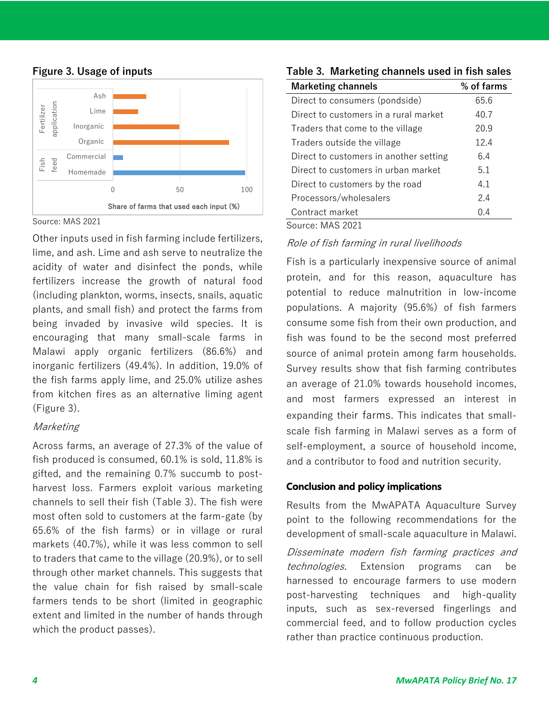

### **Figure 3. Usage of inputs**

Source: MAS 2021

Other inputs used in fish farming include fertilizers, lime, and ash. Lime and ash serve to neutralize the acidity of water and disinfect the ponds, while fertilizers increase the growth of natural food (including plankton, worms, insects, snails, aquatic plants, and small fish) and protect the farms from being invaded by invasive wild species. It is encouraging that many small-scale farms in Malawi apply organic fertilizers (86.6%) and inorganic fertilizers (49.4%). In addition, 19.0% of the fish farms apply lime, and 25.0% utilize ashes from kitchen fires as an alternative liming agent (Figure 3).

## **Marketing**

Across farms, an average of 27.3% of the value of fish produced is consumed, 60.1% is sold, 11.8% is gifted, and the remaining 0.7% succumb to postharvest loss. Farmers exploit various marketing channels to sell their fish (Table 3). The fish were most often sold to customers at the farm-gate (by 65.6% of the fish farms) or in village or rural markets (40.7%), while it was less common to sell to traders that came to the village (20.9%), or to sell through other market channels. This suggests that the value chain for fish raised by small-scale farmers tends to be short (limited in geographic extent and limited in the number of hands through which the product passes).

| <b>Marketing channels</b>              | % of farms |
|----------------------------------------|------------|
| Direct to consumers (pondside)         | 65.6       |
| Direct to customers in a rural market  | 40.7       |
| Traders that come to the village       | 20.9       |
| Traders outside the village            | 12.4       |
| Direct to customers in another setting | 6.4        |
| Direct to customers in urban market    | 5.1        |
| Direct to customers by the road        | 4.1        |
| Processors/wholesalers                 | 7.4        |
| Contract market                        | 0.4        |
|                                        |            |

**Table 3. Marketing channels used in fish sales**

Source: MAS 2021

## Role of fish farming in rural livelihoods

Fish is a particularly inexpensive source of animal protein, and for this reason, aquaculture has potential to reduce malnutrition in low-income populations. A majority (95.6%) of fish farmers consume some fish from their own production, and fish was found to be the second most preferred source of animal protein among farm households. Survey results show that fish farming contributes an average of 21.0% towards household incomes, and most farmers expressed an interest in expanding their farms. This indicates that smallscale fish farming in Malawi serves as a form of self-employment, a source of household income, and a contributor to food and nutrition security.

## **Conclusion and policy implications**

Results from the MwAPATA Aquaculture Survey point to the following recommendations for the development of small-scale aquaculture in Malawi.

Disseminate modern fish farming practices and technologies. Extension programs can be harnessed to encourage farmers to use modern post-harvesting techniques and high-quality inputs, such as sex-reversed fingerlings and commercial feed, and to follow production cycles rather than practice continuous production.